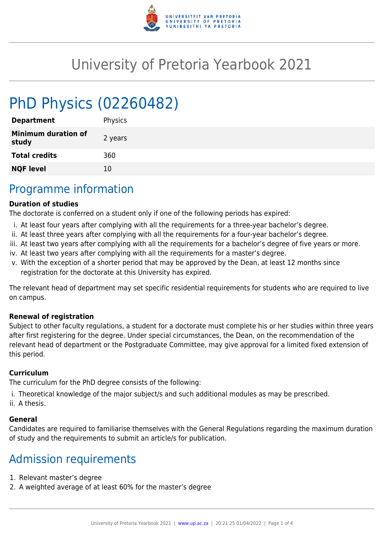

# University of Pretoria Yearbook 2021

# PhD Physics (02260482)

| <b>Department</b>                   | Physics |
|-------------------------------------|---------|
| <b>Minimum duration of</b><br>study | 2 years |
| <b>Total credits</b>                | 360     |
| <b>NQF level</b>                    | 10      |
|                                     |         |

### Programme information

#### **Duration of studies**

The doctorate is conferred on a student only if one of the following periods has expired:

- i. At least four years after complying with all the requirements for a three-year bachelor's degree.
- ii. At least three years after complying with all the requirements for a four-year bachelor's degree.
- iii. At least two years after complying with all the requirements for a bachelor's degree of five years or more.
- iv. At least two years after complying with all the requirements for a master's degree.
- v. With the exception of a shorter period that may be approved by the Dean, at least 12 months since registration for the doctorate at this University has expired.

The relevant head of department may set specific residential requirements for students who are required to live on campus.

#### **Renewal of registration**

Subject to other faculty regulations, a student for a doctorate must complete his or her studies within three years after first registering for the degree. Under special circumstances, the Dean, on the recommendation of the relevant head of department or the Postgraduate Committee, may give approval for a limited fixed extension of this period.

#### **Curriculum**

The curriculum for the PhD degree consists of the following:

- i. Theoretical knowledge of the major subject/s and such additional modules as may be prescribed.
- ii. A thesis.

#### **General**

Candidates are required to familiarise themselves with the General Regulations regarding the maximum duration of study and the requirements to submit an article/s for publication.

## Admission requirements

- 1. Relevant master's degree
- 2. A weighted average of at least 60% for the master's degree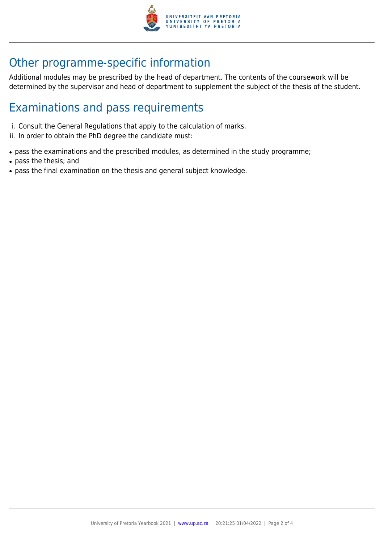

## Other programme-specific information

Additional modules may be prescribed by the head of department. The contents of the coursework will be determined by the supervisor and head of department to supplement the subject of the thesis of the student.

## Examinations and pass requirements

- i. Consult the General Regulations that apply to the calculation of marks.
- ii. In order to obtain the PhD degree the candidate must:
- pass the examinations and the prescribed modules, as determined in the study programme;
- pass the thesis; and
- pass the final examination on the thesis and general subject knowledge.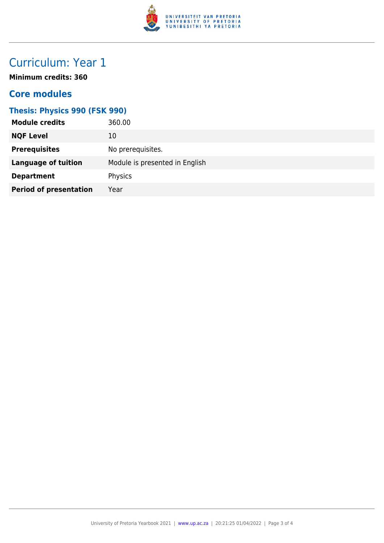

# Curriculum: Year 1

**Minimum credits: 360**

### **Core modules**

#### **Thesis: Physics 990 (FSK 990)**

| <b>Module credits</b>         | 360.00                         |
|-------------------------------|--------------------------------|
| <b>NQF Level</b>              | 10                             |
| <b>Prerequisites</b>          | No prerequisites.              |
| <b>Language of tuition</b>    | Module is presented in English |
| <b>Department</b>             | Physics                        |
| <b>Period of presentation</b> | Year                           |